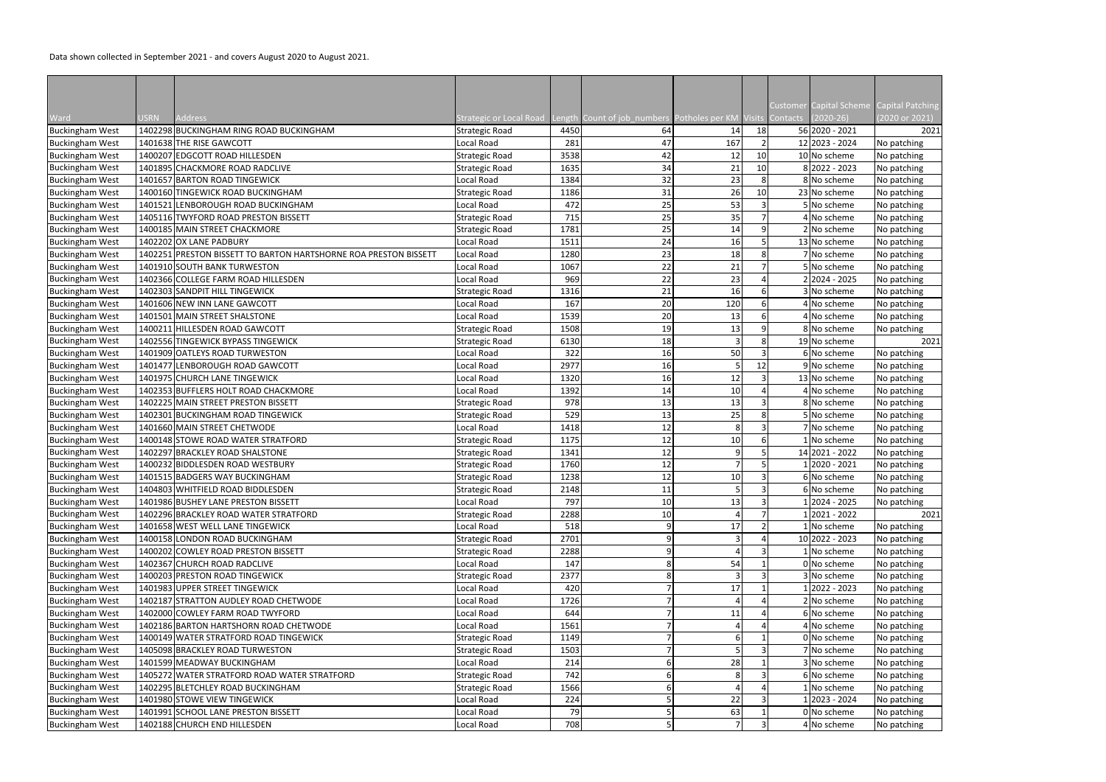Data shown collected in September 2021 - and covers August 2020 to August 2021.

|                        |         |                                                                                   |                                     |             |                                        |                |                 |                 | Customer Capital Scheme    | Capital Patching |
|------------------------|---------|-----------------------------------------------------------------------------------|-------------------------------------|-------------|----------------------------------------|----------------|-----------------|-----------------|----------------------------|------------------|
| Ward                   | USRN    | Address                                                                           | itrategic or Local Road             | .ength      | Count of job_numbers   Potholes per KM |                | Visits          | <b>Contacts</b> | $(2020-26)$                | (2020 or 2021)   |
| <b>Buckingham West</b> |         | 1402298 BUCKINGHAM RING ROAD BUCKINGHAM                                           | Strategic Road                      | 4450        | 64                                     | 14             | 18              |                 | 56 2020 - 2021             | 2021             |
| <b>Buckingham West</b> |         | 1401638 THE RISE GAWCOTT                                                          | Local Road                          | 281         | 47                                     | 167            |                 |                 | 12 2023 - 2024             | No patching      |
| <b>Buckingham West</b> |         | 1400207 EDGCOTT ROAD HILLESDEN                                                    | <b>Strategic Road</b>               | 3538        | 42                                     | 12             | 10              |                 | 10 No scheme               | No patching      |
| <b>Buckingham West</b> |         | 1401895 CHACKMORE ROAD RADCLIVE                                                   | <b>Strategic Road</b>               | 1635        | 34                                     | 21             | 10              |                 | 8 2022 - 2023              | No patching      |
| <b>Buckingham West</b> |         | 1401657 BARTON ROAD TINGEWICK                                                     | Local Road                          | 1384        | 32                                     | 23             |                 |                 | 8 No scheme                | No patching      |
| <b>Buckingham West</b> |         | 1400160 TINGEWICK ROAD BUCKINGHAM                                                 | <b>Strategic Road</b>               | 1186        | 31                                     | 26             | 10 <sup>1</sup> |                 | 23 No scheme               | No patching      |
| <b>Buckingham West</b> | 1401521 | LENBOROUGH ROAD BUCKINGHAM                                                        | Local Road                          | 472         | 25                                     | 53             |                 |                 | 5 No scheme                | No patching      |
| <b>Buckingham West</b> |         | 1405116 TWYFORD ROAD PRESTON BISSETT                                              | <b>Strategic Road</b>               | 715         | 25                                     | 35             |                 |                 | 4 No scheme                | No patching      |
| <b>Buckingham West</b> |         | 1400185 MAIN STREET CHACKMORE                                                     | <b>Strategic Road</b>               | 1781        | 25                                     | 14             |                 |                 | 2 No scheme                | No patching      |
| <b>Buckingham West</b> |         | 1402202 OX LANE PADBURY                                                           | Local Road                          | 1511        | 24                                     | 16             |                 |                 | 13 No scheme               | No patching      |
| <b>Buckingham West</b> |         | 1402251 PRESTON BISSETT TO BARTON HARTSHORNE ROA PRESTON BISSETT                  | Local Road                          | 1280        | 23                                     | 18             |                 |                 | 7 No scheme                | No patching      |
| <b>Buckingham West</b> |         | 1401910 SOUTH BANK TURWESTON                                                      | Local Road                          | 1067        | 22                                     | 21             |                 |                 | 5 No scheme                | No patching      |
| <b>Buckingham West</b> |         | 1402366 COLLEGE FARM ROAD HILLESDEN                                               | Local Road                          | 969         | 22                                     | 23             |                 |                 | 2 2024 - 2025              | No patching      |
| <b>Buckingham West</b> |         | 1402303 SANDPIT HILL TINGEWICK                                                    | Strategic Road                      | 1316        | 21                                     | 16             |                 |                 | 3 No scheme                | No patching      |
| <b>Buckingham West</b> |         | 1401606 NEW INN LANE GAWCOTT                                                      | Local Road                          | 167         | 20                                     | 120            |                 |                 | 4 No scheme                | No patching      |
| <b>Buckingham West</b> |         | 1401501 MAIN STREET SHALSTONE                                                     | Local Road                          | 1539        | 20                                     | 13             |                 |                 | 4 No scheme                | No patching      |
| <b>Buckingham West</b> |         | 1400211 HILLESDEN ROAD GAWCOTT                                                    | <b>Strategic Road</b>               | 1508        | 19                                     | 13             |                 |                 | 8 No scheme                | No patching      |
| <b>Buckingham West</b> |         | 1402556 TINGEWICK BYPASS TINGEWICK                                                | <b>Strategic Road</b>               | 6130        | 18                                     |                |                 |                 | 19 No scheme               | 2021             |
| <b>Buckingham West</b> |         | 1401909 OATLEYS ROAD TURWESTON                                                    | Local Road                          | 322         | 16                                     | 50             |                 |                 | 6 No scheme                | No patching      |
| <b>Buckingham West</b> |         | 1401477 LENBOROUGH ROAD GAWCOTT                                                   | Local Road                          | 2977        | 16                                     |                | 12              |                 | 9 No scheme                | No patching      |
| <b>Buckingham West</b> |         | 1401975 CHURCH LANE TINGEWICK                                                     | Local Road                          | 1320        | 16                                     | 12             |                 |                 | 13 No scheme               | No patching      |
| <b>Buckingham West</b> |         | 1402353 BUFFLERS HOLT ROAD CHACKMORE                                              | Local Road                          | 1392        | 14                                     | 10             |                 |                 | 4 No scheme                | No patching      |
| <b>Buckingham West</b> |         | 1402225 MAIN STREET PRESTON BISSETT                                               | Strategic Road                      | 978         | 13                                     | 13             |                 |                 | 8 No scheme                | No patching      |
| <b>Buckingham West</b> |         | 1402301 BUCKINGHAM ROAD TINGEWICK                                                 | Strategic Road                      | 529         | 13                                     | 25             |                 |                 | No scheme                  | No patching      |
| <b>Buckingham West</b> |         | 1401660 MAIN STREET CHETWODE                                                      | Local Road                          | 1418        | 12                                     | 8              |                 |                 | 7 No scheme                | No patching      |
| <b>Buckingham West</b> |         | 1400148 STOWE ROAD WATER STRATFORD                                                | <b>Strategic Road</b>               | 1175        | 12                                     | 10             |                 |                 | No scheme                  | No patching      |
| <b>Buckingham West</b> |         | 1402297 BRACKLEY ROAD SHALSTONE                                                   | <b>Strategic Road</b>               | 1341        | 12                                     | q              |                 |                 | 14 2021 - 2022             | No patching      |
| <b>Buckingham West</b> |         | 1400232 BIDDLESDEN ROAD WESTBURY                                                  | <b>Strategic Road</b>               | 1760        | 12                                     |                |                 |                 | 2020 - 2021                | No patching      |
| <b>Buckingham West</b> |         | 1401515 BADGERS WAY BUCKINGHAM                                                    | <b>Strategic Road</b>               | 1238        | 12                                     | 10             |                 |                 | 6 No scheme                | No patching      |
| <b>Buckingham West</b> |         | 1404803 WHITFIELD ROAD BIDDLESDEN                                                 | <b>Strategic Road</b>               | 2148        | 11                                     | $\mathbf{r}$   |                 |                 | 6 No scheme                | No patching      |
| <b>Buckingham West</b> |         | 1401986 BUSHEY LANE PRESTON BISSETT                                               | Local Road                          | 797         | . .<br>10                              | 13             |                 |                 | 1 2024 - 2025              | No patching      |
| <b>Buckingham West</b> |         | 1402296 BRACKLEY ROAD WATER STRATFORD                                             | Strategic Road                      | 2288        | 10                                     |                |                 |                 | 12021 - 2022               | 2021             |
| <b>Buckingham West</b> |         | 1401658 WEST WELL LANE TINGEWICK                                                  | Local Road                          | 518         |                                        | 17             |                 |                 | L No scheme                | No patching      |
| <b>Buckingham West</b> |         | 1400158 LONDON ROAD BUCKINGHAM                                                    | <b>Strategic Road</b>               | 2701        |                                        |                |                 |                 | 10 2022 - 2023             | No patching      |
| <b>Buckingham West</b> |         | 1400202 COWLEY ROAD PRESTON BISSETT                                               | Strategic Road                      | 2288        |                                        |                |                 |                 | LNo scheme                 | No patching      |
| <b>Buckingham West</b> |         | 1402367 CHURCH ROAD RADCLIVE                                                      | Local Road                          | 147         |                                        | 54             |                 |                 | 0 No scheme                | No patching      |
| <b>Buckingham West</b> |         | 1400203 PRESTON ROAD TINGEWICK                                                    | Strategic Road                      | 2377        |                                        |                |                 |                 | 3 No scheme                | No patching      |
| <b>Buckingham West</b> |         | 1401983 UPPER STREET TINGEWICK                                                    | Local Road                          | 420         |                                        | 17             |                 |                 | 1 2022 - 2023              | No patching      |
| <b>Buckingham West</b> |         | 1402187 STRATTON AUDLEY ROAD CHETWODE                                             | Local Road                          | 1726        |                                        |                |                 |                 | 2 No scheme                | No patching      |
| <b>Buckingham West</b> |         | 1402000 COWLEY FARM ROAD TWYFORD                                                  | Local Road                          | 644         |                                        | 11             |                 |                 | 6 No scheme                | No patching      |
|                        |         | 1402186 BARTON HARTSHORN ROAD CHETWODE                                            | Local Road                          | 1561        |                                        |                |                 |                 |                            |                  |
| <b>Buckingham West</b> |         | 1400149 WATER STRATFORD ROAD TINGEWICK                                            |                                     | 1149        |                                        |                |                 |                 | 4 No scheme                | No patching      |
| <b>Buckingham West</b> |         | 1405098 BRACKLEY ROAD TURWESTON                                                   | Strategic Road                      |             |                                        |                |                 |                 | 0 No scheme<br>7 No scheme | No patching      |
| <b>Buckingham West</b> |         | 1401599 MEADWAY BUCKINGHAM                                                        | <b>Strategic Road</b><br>Local Road | 1503<br>214 |                                        | 28             |                 |                 |                            | No patching      |
| <b>Buckingham West</b> |         |                                                                                   |                                     | 742         |                                        | 8              |                 |                 | 3 No scheme                | No patching      |
| <b>Buckingham West</b> |         | 1405272 WATER STRATFORD ROAD WATER STRATFORD<br>1402295 BLETCHLEY ROAD BUCKINGHAM | <b>Strategic Road</b>               | 1566        |                                        |                |                 |                 | 6 No scheme                | No patching      |
| <b>Buckingham West</b> |         |                                                                                   | <b>Strategic Road</b>               |             |                                        |                |                 |                 | No scheme                  | No patching      |
| <b>Buckingham West</b> |         | 1401980 STOWE VIEW TINGEWICK                                                      | Local Road                          | 224         |                                        | 22             |                 |                 | 12023 - 2024               | No patching      |
| <b>Buckingham West</b> |         | 1401991 SCHOOL LANE PRESTON BISSETT                                               | Local Road                          | 79          |                                        | 63             |                 |                 | 0 No scheme                | No patching      |
| <b>Buckingham West</b> |         | 1402188 CHURCH END HILLESDEN                                                      | Local Road                          | 708         |                                        | $\overline{7}$ |                 |                 | 4 No scheme                | No patching      |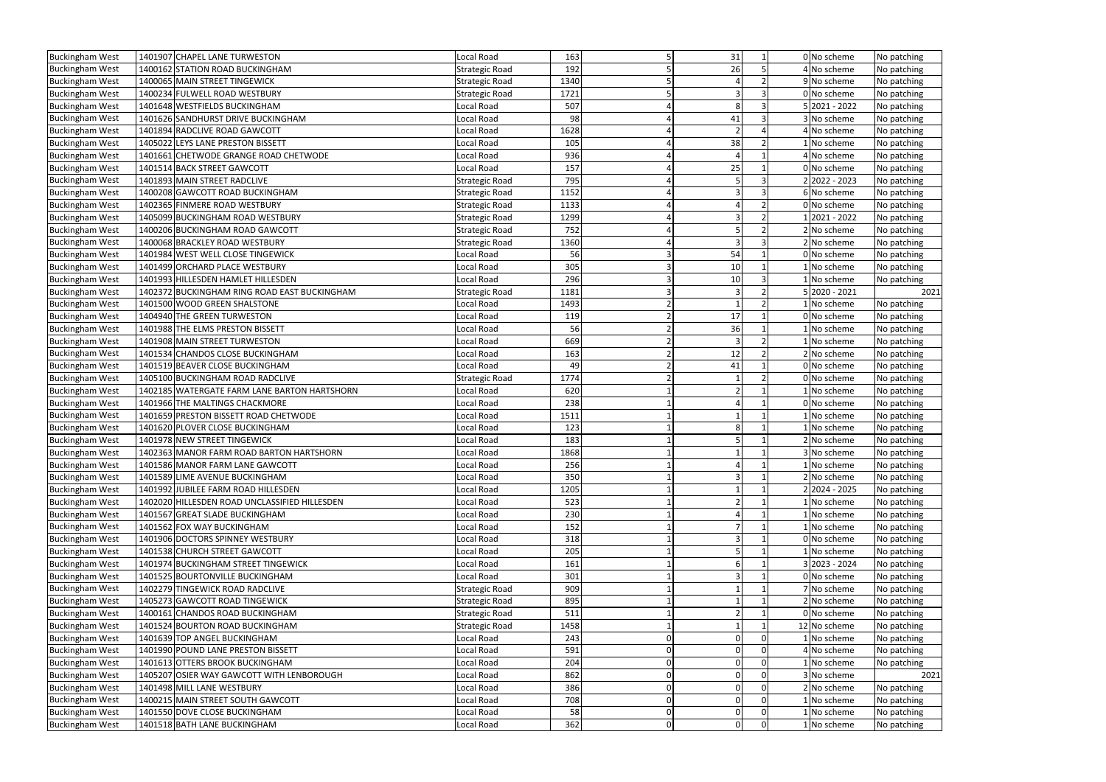| <b>Buckingham West</b> | 1401907 CHAPEL LANE TURWESTON                 | Local Road            | 163  |   | 31                      |  | 0 No scheme   | No patching |
|------------------------|-----------------------------------------------|-----------------------|------|---|-------------------------|--|---------------|-------------|
| <b>Buckingham West</b> | 1400162 STATION ROAD BUCKINGHAM               | <b>Strategic Road</b> | 192  |   | 26                      |  | 4 No scheme   | No patching |
| <b>Buckingham West</b> | 1400065 MAIN STREET TINGEWICK                 | <b>Strategic Road</b> | 1340 |   |                         |  | 9 No scheme   | No patching |
| <b>Buckingham West</b> | 1400234 FULWELL ROAD WESTBURY                 | Strategic Road        | 1721 |   | $\overline{\mathbf{z}}$ |  | 0 No scheme   | No patching |
| <b>Buckingham West</b> | 1401648 WESTFIELDS BUCKINGHAM                 | Local Road            | 507  |   | 8                       |  | 5 2021 - 2022 | No patching |
| <b>Buckingham West</b> | 1401626 SANDHURST DRIVE BUCKINGHAM            | Local Road            | 98   |   | 41                      |  | 3 No scheme   | No patching |
| <b>Buckingham West</b> | 1401894 RADCLIVE ROAD GAWCOTT                 | Local Road            | 1628 |   | $\mathcal{P}$           |  | 4 No scheme   | No patching |
| <b>Buckingham West</b> | 1405022 LEYS LANE PRESTON BISSETT             | Local Road            | 105  |   | 38                      |  | 1 No scheme   | No patching |
| <b>Buckingham West</b> | 1401661 CHETWODE GRANGE ROAD CHETWODE         | Local Road            | 936  |   | $\Delta$                |  | 4 No scheme   | No patching |
| <b>Buckingham West</b> | 1401514 BACK STREET GAWCOTT                   | Local Road            | 157  |   | 25                      |  | 0 No scheme   | No patching |
| <b>Buckingham West</b> | 1401893 MAIN STREET RADCLIVE                  | <b>Strategic Road</b> | 795  |   |                         |  | 2 2022 - 2023 | No patching |
| <b>Buckingham West</b> | 1400208 GAWCOTT ROAD BUCKINGHAM               | <b>Strategic Road</b> | 1152 |   |                         |  | 6 No scheme   | No patching |
| <b>Buckingham West</b> | 1402365 FINMERE ROAD WESTBURY                 | <b>Strategic Road</b> | 1133 |   |                         |  | 0 No scheme   | No patching |
| <b>Buckingham West</b> | 1405099 BUCKINGHAM ROAD WESTBURY              | Strategic Road        | 1299 |   |                         |  | 12021 - 2022  | No patching |
| <b>Buckingham West</b> | 1400206 BUCKINGHAM ROAD GAWCOTT               | Strategic Road        | 752  |   |                         |  | 2 No scheme   | No patching |
| <b>Buckingham West</b> | 1400068 BRACKLEY ROAD WESTBURY                | <b>Strategic Road</b> | 1360 |   | $\overline{3}$          |  | 2 No scheme   | No patching |
| <b>Buckingham West</b> | 1401984 WEST WELL CLOSE TINGEWICK             | Local Road            | 56   |   | 54                      |  | 0 No scheme   | No patching |
| <b>Buckingham West</b> | 1401499 ORCHARD PLACE WESTBURY                | Local Road            | 305  |   | 10                      |  | 1 No scheme   | No patching |
| <b>Buckingham West</b> | 1401993 HILLESDEN HAMLET HILLESDEN            | Local Road            | 296  |   | 10                      |  | LNo scheme    | No patching |
| <b>Buckingham West</b> | 1402372 BUCKINGHAM RING ROAD EAST BUCKINGHAM  | Strategic Road        | 1181 |   | $\overline{3}$          |  | 5 2020 - 2021 | 2021        |
| <b>Buckingham West</b> | 1401500 WOOD GREEN SHALSTONE                  | Local Road            | 1493 |   |                         |  | 1 No scheme   | No patching |
| <b>Buckingham West</b> | 1404940 THE GREEN TURWESTON                   | Local Road            | 119  |   | 17                      |  | 0 No scheme   | No patching |
| <b>Buckingham West</b> | 1401988 THE ELMS PRESTON BISSETT              | Local Road            | 56   |   | 36                      |  | 1 No scheme   | No patching |
| <b>Buckingham West</b> | 1401908 MAIN STREET TURWESTON                 | Local Road            | 669  |   | $\overline{3}$          |  | No scheme!    | No patching |
| <b>Buckingham West</b> | 1401534 CHANDOS CLOSE BUCKINGHAM              | Local Road            | 163  |   | 12                      |  | 2 No scheme   | No patching |
| <b>Buckingham West</b> | 1401519 BEAVER CLOSE BUCKINGHAM               | Local Road            | 49   |   | 41                      |  | 0 No scheme   | No patching |
| <b>Buckingham West</b> | 1405100 BUCKINGHAM ROAD RADCLIVE              | Strategic Road        | 1774 |   |                         |  | 0 No scheme   | No patching |
| <b>Buckingham West</b> | 1402185 WATERGATE FARM LANE BARTON HARTSHORN  | Local Road            | 620  |   |                         |  | LNo scheme    | No patching |
| <b>Buckingham West</b> | 1401966 THE MALTINGS CHACKMORE                | Local Road            | 238  |   |                         |  | 0 No scheme   | No patching |
| <b>Buckingham West</b> | 1401659 PRESTON BISSETT ROAD CHETWODE         | Local Road            | 1511 |   |                         |  | 1 No scheme   | No patching |
| <b>Buckingham West</b> | 1401620 PLOVER CLOSE BUCKINGHAM               | Local Road            | 123  |   | 8                       |  | 1 No scheme   | No patching |
| <b>Buckingham West</b> | 1401978 NEW STREET TINGEWICK                  | Local Road            | 183  |   |                         |  | 2 No scheme   | No patching |
| <b>Buckingham West</b> | 1402363 MANOR FARM ROAD BARTON HARTSHORN      | Local Road            | 1868 |   |                         |  | No scheme     | No patching |
| <b>Buckingham West</b> | 1401586 MANOR FARM LANE GAWCOTT               | Local Road            | 256  |   |                         |  | 1 No scheme   | No patching |
| <b>Buckingham West</b> | 1401589 LIME AVENUE BUCKINGHAM                | Local Road            | 350  |   |                         |  | 2 No scheme   | No patching |
| <b>Buckingham West</b> | 1401992 JUBILEE FARM ROAD HILLESDEN           | Local Road            | 1205 |   |                         |  | 2 2024 - 2025 | No patching |
| <b>Buckingham West</b> | 1402020 HILLESDEN ROAD UNCLASSIFIED HILLESDEN | Local Road            | 523  |   |                         |  | 1 No scheme   | No patching |
| <b>Buckingham West</b> | 1401567 GREAT SLADE BUCKINGHAM                | Local Road            | 230  |   |                         |  | 1 No scheme   | No patching |
| <b>Buckingham West</b> | 1401562 FOX WAY BUCKINGHAM                    | Local Road            | 152  |   |                         |  | 1 No scheme   | No patching |
| <b>Buckingham West</b> | 1401906 DOCTORS SPINNEY WESTBURY              | Local Road            | 318  |   | 3                       |  | 0 No scheme   | No patching |
| <b>Buckingham West</b> | 1401538 CHURCH STREET GAWCOTT                 | Local Road            | 205  |   |                         |  | 1 No scheme   | No patching |
| <b>Buckingham West</b> | 1401974 BUCKINGHAM STREET TINGEWICK           | Local Road            | 161  |   |                         |  | 3 2023 - 2024 | No patching |
| <b>Buckingham West</b> | 1401525 BOURTONVILLE BUCKINGHAM               | Local Road            | 301  |   |                         |  | 0 No scheme   | No patching |
| <b>Buckingham West</b> | 1402279 TINGEWICK ROAD RADCLIVE               | Strategic Road        | 909  |   |                         |  | 7 No scheme   | No patching |
| <b>Buckingham West</b> | 1405273 GAWCOTT ROAD TINGEWICK                | <b>Strategic Road</b> | 895  |   |                         |  | 2 No scheme   | No patching |
| <b>Buckingham West</b> | 1400161 CHANDOS ROAD BUCKINGHAM               | Strategic Road        | 511  |   |                         |  | 0 No scheme   | No patching |
| <b>Buckingham West</b> | 1401524 BOURTON ROAD BUCKINGHAM               | Strategic Road        | 1458 |   |                         |  | 12 No scheme  | No patching |
| <b>Buckingham West</b> | 1401639 TOP ANGEL BUCKINGHAM                  | Local Road            | 243  |   | $\Omega$                |  | 1 No scheme   | No patching |
| <b>Buckingham West</b> | 1401990 POUND LANE PRESTON BISSETT            | Local Road            | 591  |   |                         |  | 4 No scheme   | No patching |
| <b>Buckingham West</b> | 1401613 OTTERS BROOK BUCKINGHAM               | Local Road            | 204  |   | $\Omega$                |  | 1 No scheme   | No patching |
| <b>Buckingham West</b> | 1405207 OSIER WAY GAWCOTT WITH LENBOROUGH     | Local Road            | 862  |   |                         |  | 3 No scheme   | 2021        |
| <b>Buckingham West</b> | 1401498 MILL LANE WESTBURY                    | Local Road            | 386  |   | $\Omega$                |  | 2 No scheme   | No patching |
| <b>Buckingham West</b> | 1400215 MAIN STREET SOUTH GAWCOTT             | Local Road            | 708  |   | $\Omega$                |  | 1 No scheme   | No patching |
| <b>Buckingham West</b> | 1401550 DOVE CLOSE BUCKINGHAM                 | Local Road            | 58   |   |                         |  | 1 No scheme   | No patching |
| <b>Buckingham West</b> | 1401518 BATH LANE BUCKINGHAM                  | Local Road            | 362  | 0 | $\mathbf 0$             |  | 1 No scheme   | No patching |